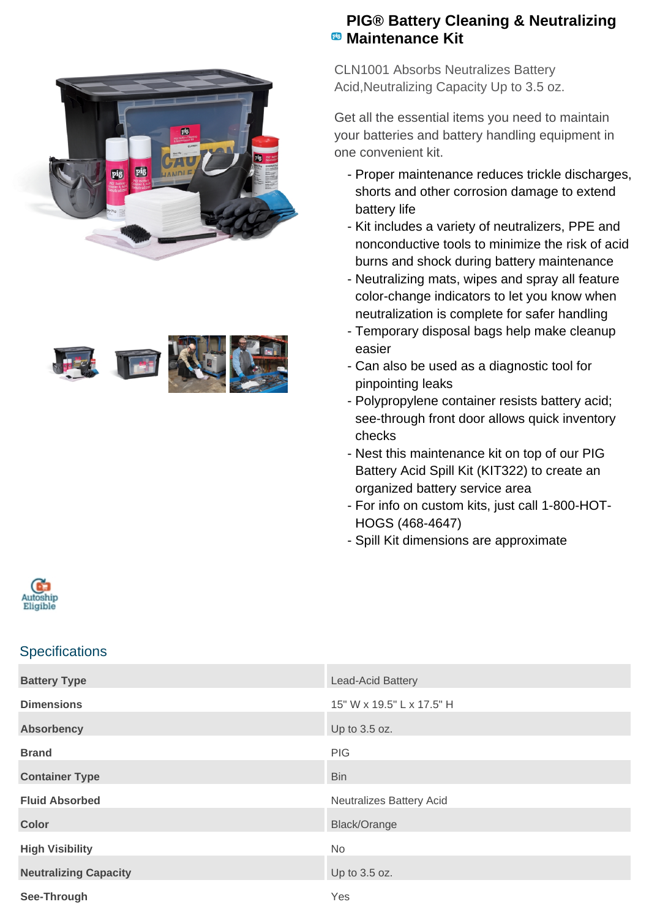



## **PIG® Battery Cleaning & Neutralizing Maintenance Kit**

CLN1001 Absorbs Neutralizes Battery Acid,Neutralizing Capacity Up to 3.5 oz.

Get all the essential items you need to maintain your batteries and battery handling equipment in one convenient kit.

- Proper maintenance reduces trickle discharges, shorts and other corrosion damage to extend battery life
- Kit includes a variety of neutralizers, PPE and nonconductive tools to minimize the risk of acid burns and shock during battery maintenance
- Neutralizing mats, wipes and spray all feature color-change indicators to let you know when neutralization is complete for safer handling
- Temporary disposal bags help make cleanup easier
- Can also be used as a diagnostic tool for pinpointing leaks
- Polypropylene container resists battery acid; see-through front door allows quick inventory checks
- Nest this maintenance kit on top of our PIG Battery Acid Spill Kit (KIT322) to create an organized battery service area
- For info on custom kits, just call 1-800-HOT-HOGS (468-4647)
- Spill Kit dimensions are approximate



## **Specifications**

| <b>Battery Type</b>          | Lead-Acid Battery         |
|------------------------------|---------------------------|
| <b>Dimensions</b>            | 15" W x 19.5" L x 17.5" H |
| <b>Absorbency</b>            | Up to 3.5 oz.             |
| <b>Brand</b>                 | PIG                       |
| <b>Container Type</b>        | <b>Bin</b>                |
| <b>Fluid Absorbed</b>        | Neutralizes Battery Acid  |
| <b>Color</b>                 | Black/Orange              |
| <b>High Visibility</b>       | <b>No</b>                 |
| <b>Neutralizing Capacity</b> | Up to 3.5 oz.             |
| See-Through                  | Yes                       |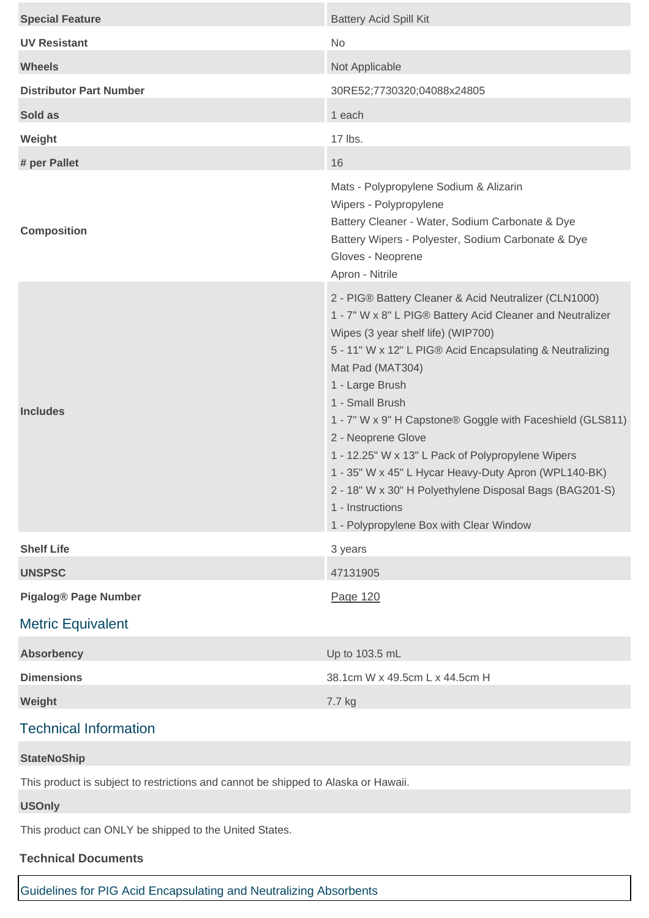| <b>Special Feature</b>                                                             | <b>Battery Acid Spill Kit</b>                                                                                                                                                                                                                                                                                                                                                                                                                                                                                                                                                                            |
|------------------------------------------------------------------------------------|----------------------------------------------------------------------------------------------------------------------------------------------------------------------------------------------------------------------------------------------------------------------------------------------------------------------------------------------------------------------------------------------------------------------------------------------------------------------------------------------------------------------------------------------------------------------------------------------------------|
| <b>UV Resistant</b>                                                                | No                                                                                                                                                                                                                                                                                                                                                                                                                                                                                                                                                                                                       |
| <b>Wheels</b>                                                                      | Not Applicable                                                                                                                                                                                                                                                                                                                                                                                                                                                                                                                                                                                           |
| <b>Distributor Part Number</b>                                                     | 30RE52;7730320;04088x24805                                                                                                                                                                                                                                                                                                                                                                                                                                                                                                                                                                               |
| Sold as                                                                            | 1 each                                                                                                                                                                                                                                                                                                                                                                                                                                                                                                                                                                                                   |
| Weight                                                                             | 17 lbs.                                                                                                                                                                                                                                                                                                                                                                                                                                                                                                                                                                                                  |
| # per Pallet                                                                       | 16                                                                                                                                                                                                                                                                                                                                                                                                                                                                                                                                                                                                       |
| <b>Composition</b>                                                                 | Mats - Polypropylene Sodium & Alizarin<br>Wipers - Polypropylene<br>Battery Cleaner - Water, Sodium Carbonate & Dye<br>Battery Wipers - Polyester, Sodium Carbonate & Dye<br>Gloves - Neoprene<br>Apron - Nitrile                                                                                                                                                                                                                                                                                                                                                                                        |
| <b>Includes</b>                                                                    | 2 - PIG® Battery Cleaner & Acid Neutralizer (CLN1000)<br>1 - 7" W x 8" L PIG® Battery Acid Cleaner and Neutralizer<br>Wipes (3 year shelf life) (WIP700)<br>5 - 11" W x 12" L PIG® Acid Encapsulating & Neutralizing<br>Mat Pad (MAT304)<br>1 - Large Brush<br>1 - Small Brush<br>1 - 7" W x 9" H Capstone® Goggle with Faceshield (GLS811)<br>2 - Neoprene Glove<br>1 - 12.25" W x 13" L Pack of Polypropylene Wipers<br>1 - 35" W x 45" L Hycar Heavy-Duty Apron (WPL140-BK)<br>2 - 18" W x 30" H Polyethylene Disposal Bags (BAG201-S)<br>1 - Instructions<br>1 - Polypropylene Box with Clear Window |
| <b>Shelf Life</b>                                                                  | 3 years                                                                                                                                                                                                                                                                                                                                                                                                                                                                                                                                                                                                  |
| <b>UNSPSC</b>                                                                      | 47131905                                                                                                                                                                                                                                                                                                                                                                                                                                                                                                                                                                                                 |
| <b>Pigalog® Page Number</b>                                                        | Page 120                                                                                                                                                                                                                                                                                                                                                                                                                                                                                                                                                                                                 |
| <b>Metric Equivalent</b>                                                           |                                                                                                                                                                                                                                                                                                                                                                                                                                                                                                                                                                                                          |
| <b>Absorbency</b>                                                                  | Up to 103.5 mL                                                                                                                                                                                                                                                                                                                                                                                                                                                                                                                                                                                           |
| <b>Dimensions</b>                                                                  | 38.1cm W x 49.5cm L x 44.5cm H                                                                                                                                                                                                                                                                                                                                                                                                                                                                                                                                                                           |
| Weight                                                                             | 7.7 kg                                                                                                                                                                                                                                                                                                                                                                                                                                                                                                                                                                                                   |
| <b>Technical Information</b>                                                       |                                                                                                                                                                                                                                                                                                                                                                                                                                                                                                                                                                                                          |
| <b>StateNoShip</b>                                                                 |                                                                                                                                                                                                                                                                                                                                                                                                                                                                                                                                                                                                          |
| This product is subject to restrictions and cannot be shipped to Alaska or Hawaii. |                                                                                                                                                                                                                                                                                                                                                                                                                                                                                                                                                                                                          |
| <b>USOnly</b>                                                                      |                                                                                                                                                                                                                                                                                                                                                                                                                                                                                                                                                                                                          |
| This product can ONLY be shipped to the United States.                             |                                                                                                                                                                                                                                                                                                                                                                                                                                                                                                                                                                                                          |
| <b>Technical Documents</b>                                                         |                                                                                                                                                                                                                                                                                                                                                                                                                                                                                                                                                                                                          |

## [Guidelines for PIG Acid Encapsulating and Neutralizing Absorbents](https://newpig.scene7.com/is/content/NewPig/pdfs/INST_ACIDNEUTRALIZINGGUIDE_GENERAL.pdf)